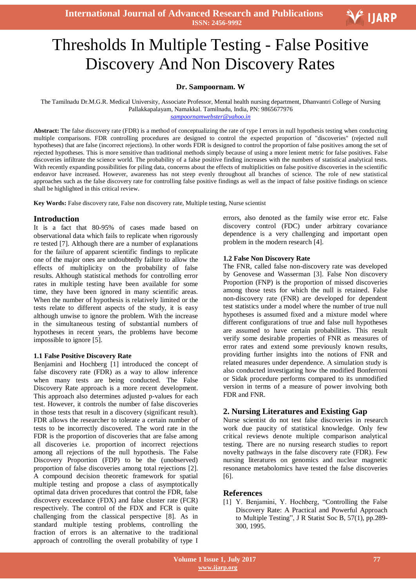**International Journal of Advanced Research and Publications ISSN: 2456-9992**

# $\overline{a}$ Thresholds In Multiple Testing - False Positive Discovery And Non Discovery Rates

# **Dr. Sampoornam. W**

The Tamilnadu Dr.M.G.R. Medical University, Associate Professor, Mental health nursing department, Dhanvantri College of Nursing Pallakkapalayam, Namakkal. Tamilnadu, India, PN: 9865677976

*sampoornamwebster@yahoo.in*

**Abstract:** The false discovery rate (FDR) is a method of conceptualizing the rate of type I errors in null hypothesis testing when conducting multiple comparisons. FDR controlling procedures are designed to control the expected proportion of "discoveries" (rejected null hypotheses) that are false (incorrect rejections). In other words FDR is designed to control the proportion of false positives among the set of rejected hypotheses. This is more sensitive than traditional methods simply because of using a more lenient metric for false positives. False discoveries infiltrate the science world. The probability of a false positive finding increases with the numbers of statistical analytical tests. With recently expanding possibilities for piling data, concerns about the effects of multiplicities on false positive discoveries in the scientific endeavor have increased. However, awareness has not steep evenly throughout all branches of science. The role of new statistical approaches such as the false discovery rate for controlling false positive findings as well as the impact of false positive findings on science shall be highlighted in this critical review.

**Key Words:** False discovery rate, False non discovery rate, Multiple testing, Nurse scientist

#### **Introduction**

It is a fact that 80-95% of cases made based on observational data which fails to replicate when rigorously re tested [7]. Although there are a number of explanations for the failure of apparent scientific findings to replicate one of the major ones are undoubtedly failure to allow the effects of multiplicity on the probability of false results. Although statistical methods for controlling error rates in multiple testing have been available for some time, they have been ignored in many scientific areas. When the number of hypothesis is relatively limited or the tests relate to different aspects of the study, it is easy although unwise to ignore the problem. With the increase in the simultaneous testing of substantial numbers of hypotheses in recent years, the problems have become impossible to ignore [5].

#### **1.1 False Positive Discovery Rate**

Benjamini and Hochberg [1] introduced the concept of false discovery rate (FDR) as a way to allow inference when many tests are being conducted. The False Discovery Rate approach is a more recent development. This approach also determines adjusted p-values for each test. However, it controls the number of false discoveries in those tests that result in a discovery (significant result). FDR allows the researcher to tolerate a certain number of tests to be incorrectly discovered. The word rate in the FDR is the proportion of discoveries that are false among all discoveries i.e. proportion of incorrect rejections among all rejections of the null hypothesis. The False Discovery Proportion (FDP) to be the (unobserved) proportion of false discoveries among total rejections [2]. A compound decision theoretic framework for spatial multiple testing and propose a class of asymptotically optimal data driven procedures that control the FDR, false discovery exceedance (FDX) and false cluster rate (FCR) respectively. The control of the FDX and FCR is quite challenging from the classical perspective [8]. As in standard multiple testing problems, controlling the fraction of errors is an alternative to the traditional approach of controlling the overall probability of type I errors, also denoted as the family wise error etc. False discovery control (FDC) under arbitrary covariance dependence is a very challenging and important open problem in the modern research [4].

V IJARP

#### **1.2 False Non Discovery Rate**

The FNR, called false non-discovery rate was developed by Genovese and Wasserman [3]. False Non discovery Proportion (FNP) is the proportion of missed discoveries among those tests for which the null is retained. False non-discovery rate (FNR) are developed for dependent test statistics under a model where the number of true null hypotheses is assumed fixed and a mixture model where different configurations of true and false null hypotheses are assumed to have certain probabilities. This result verify some desirable properties of FNR as measures of error rates and extend some previously known results, providing further insights into the notions of FNR and related measures under dependence. A simulation study is also conducted investigating how the modified Bonferroni or Sidak procedure performs compared to its unmodified version in terms of a measure of power involving both FDR and FNR.

### **2. Nursing Literatures and Existing Gap**

Nurse scientist do not test false discoveries in research work due paucity of statistical knowledge. Only few critical reviews denote multiple comparison analytical testing. There are no nursing research studies to report novelty pathways in the false discovery rate (FDR). Few nursing literatures on genomics and nuclear magnetic resonance metabolomics have tested the false discoveries [6].

## **References**

[1] Y. Benjamini, Y. Hochberg, "Controlling the False Discovery Rate: A Practical and Powerful Approach to Multiple Testing", J R Statist Soc B*,* 57(1), pp.289- 300, 1995.